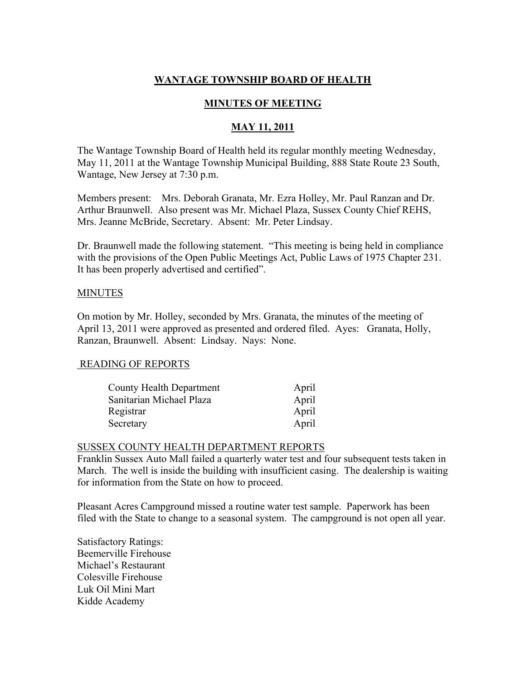# WANTAGE TOWNSHIP BOARD OF HEALTH

# MINUTES OF MEETING

### MAY 11, 2011

The Wantage Township Board of Health held its regular monthly meeting Wednesday, May 11, 2011 at the Wantage Township Municipal Building, 888 State Route 23 South, Wantage, New Jersey at 7:30 p.m.

Members present: Mrs. Deborah Granata, Mr. Ezra Holley, Mr. Paul Ranzan and Dr. Arthur Braunwell. Also present was Mr. Michael Plaza, Sussex County Chief REHS, Mrs. Jeanne McBride, Secretary. Absent: Mr. Peter Lindsay.

Dr. Braunwell made the following statement. "This meeting is being held in compliance with the provisions of the Open Public Meetings Act, Public Laws of 1975 Chapter 231. It has been properly advertised and certified".

### **MINUTES**

On motion by Mr. Holley, seconded by Mrs. Granata, the minutes of the meeting of April 13, 2011 were approved as presented and ordered filed. Ayes: Granata, Holly, Ranzan, Braunwell. Absent: Lindsay. Nays: None.

### READING OF REPORTS

| <b>County Health Department</b> | April |
|---------------------------------|-------|
| Sanitarian Michael Plaza        | April |
| Registrar                       | April |
| Secretary                       | April |

#### SUSSEX COUNTY HEALTH DEPARTMENT REPORTS

Franklin Sussex Auto Mall failed a quarterly water test and four subsequent tests taken in March. The well is inside the building with insufficient casing. The dealership is waiting for information from the State on how to proceed.

Pleasant Acres Campground missed a routine water test sample. Paperwork has been filed with the State to change to a seasonal system. The campground is not open all year.

Satisfactory Ratings: Beemerville Firehouse Michael's Restaurant Colesville Firehouse Luk Oil Mini Mart Kidde Academy